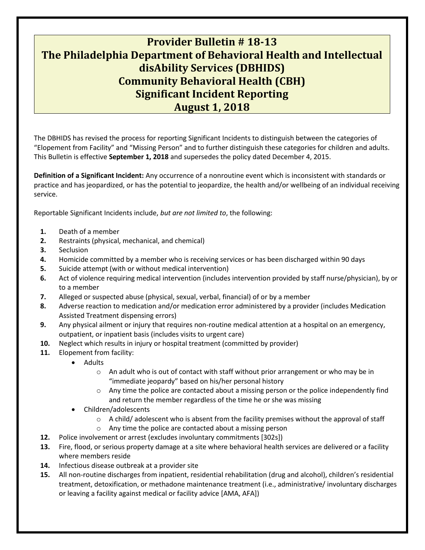## **Provider Bulletin # 18-13 The Philadelphia Department of Behavioral Health and Intellectual disAbility Services (DBHIDS) Community Behavioral Health (CBH) Significant Incident Reporting August 1, 2018**

The DBHIDS has revised the process for reporting Significant Incidents to distinguish between the categories of "Elopement from Facility" and "Missing Person" and to further distinguish these categories for children and adults. This Bulletin is effective **September 1, 2018** and supersedes the policy dated December 4, 2015.

**Definition of a Significant Incident:** Any occurrence of a nonroutine event which is inconsistent with standards or practice and has jeopardized, or has the potential to jeopardize, the health and/or wellbeing of an individual receiving service.

Reportable Significant Incidents include, *but are not limited to*, the following:

- **1.** Death of a member
- **2.** Restraints (physical, mechanical, and chemical)
- **3.** Seclusion
- **4.** Homicide committed by a member who is receiving services or has been discharged within 90 days
- **5.** Suicide attempt (with or without medical intervention)
- **6.** Act of violence requiring medical intervention (includes intervention provided by staff nurse/physician), by or to a member
- **7.** Alleged or suspected abuse (physical, sexual, verbal, financial) of or by a member
- **8.** Adverse reaction to medication and/or medication error administered by a provider (includes Medication Assisted Treatment dispensing errors)
- **9.** Any physical ailment or injury that requires non-routine medical attention at a hospital on an emergency, outpatient, or inpatient basis (includes visits to urgent care)
- **10.** Neglect which results in injury or hospital treatment (committed by provider)
- **11.** Elopement from facility:
	- Adults
		- $\circ$  An adult who is out of contact with staff without prior arrangement or who may be in "immediate jeopardy" based on his/her personal history
		- $\circ$  Any time the police are contacted about a missing person or the police independently find and return the member regardless of the time he or she was missing
	- Children/adolescents
		- $\circ$  A child/ adolescent who is absent from the facility premises without the approval of staff
		- o Any time the police are contacted about a missing person
- **12.** Police involvement or arrest (excludes involuntary commitments [302s])
- **13.** Fire, flood, or serious property damage at a site where behavioral health services are delivered or a facility where members reside
- **14.** Infectious disease outbreak at a provider site
- **15.** All non-routine discharges from inpatient, residential rehabilitation (drug and alcohol), children's residential treatment, detoxification, or methadone maintenance treatment (i.e., administrative/ involuntary discharges or leaving a facility against medical or facility advice [AMA, AFA])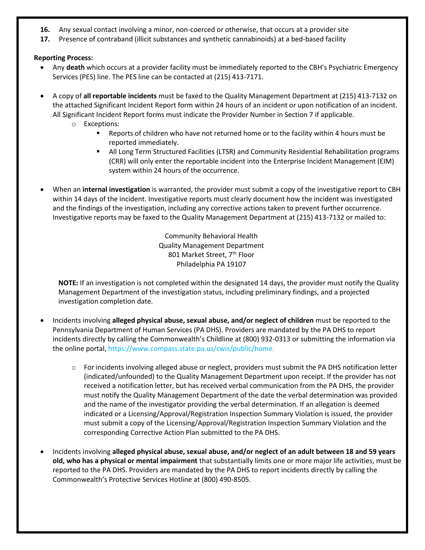- **16.** Any sexual contact involving a minor, non-coerced or otherwise, that occurs at a provider site
- **17.** Presence of contraband (illicit substances and synthetic cannabinoids) at a bed-based facility

## **Reporting Process:**

- Any **death** which occurs at a provider facility must be immediately reported to the CBH's Psychiatric Emergency Services (PES) line. The PES line can be contacted at (215) 413-7171.
- A copy of **all reportable incidents** must be faxed to the Quality Management Department at (215) 413-7132 on the attached Significant Incident Report form within 24 hours of an incident or upon notification of an incident. All Significant Incident Report forms must indicate the Provider Number in Section 7 if applicable.
	- o Exceptions:
		- Reports of children who have not returned home or to the facility within 4 hours must be reported immediately.
		- **EXECT All Long Term Structured Facilities (LTSR) and Community Residential Rehabilitation programs** (CRR) will only enter the reportable incident into the Enterprise Incident Management (EIM) system within 24 hours of the occurrence.
- When an **internal investigation** is warranted, the provider must submit a copy of the investigative report to CBH within 14 days of the incident. Investigative reports must clearly document how the incident was investigated and the findings of the investigation, including any corrective actions taken to prevent further occurrence. Investigative reports may be faxed to the Quality Management Department at (215) 413-7132 or mailed to:

Community Behavioral Health Quality Management Department 801 Market Street, 7<sup>th</sup> Floor Philadelphia PA 19107

**NOTE:** If an investigation is not completed within the designated 14 days, the provider must notify the Quality Management Department of the investigation status, including preliminary findings, and a projected investigation completion date.

- Incidents involving **alleged physical abuse, sexual abuse, and/or neglect of children** must be reported to the Pennsylvania Department of Human Services (PA DHS). Providers are mandated by the PA DHS to report incidents directly by calling the Commonwealth's Childline at (800) 932-0313 or submitting the information via the online portal, [https://www.compass.state.pa.us/cwis/public/home.](https://www.compass.state.pa.us/cwis/public/home)
	- o For incidents involving alleged abuse or neglect, providers must submit the PA DHS notification letter (indicated/unfounded) to the Quality Management Department upon receipt. If the provider has not received a notification letter, but has received verbal communication from the PA DHS, the provider must notify the Quality Management Department of the date the verbal determination was provided and the name of the investigator providing the verbal determination. If an allegation is deemed indicated or a Licensing/Approval/Registration Inspection Summary Violation is issued, the provider must submit a copy of the Licensing/Approval/Registration Inspection Summary Violation and the corresponding Corrective Action Plan submitted to the PA DHS.
- Incidents involving **alleged physical abuse, sexual abuse, and/or neglect of an adult between 18 and 59 years old, who has a physical or mental impairment** that substantially limits one or more major life activities, must be reported to the PA DHS. Providers are mandated by the PA DHS to report incidents directly by calling the Commonwealth's Protective Services Hotline at (800) 490-8505.